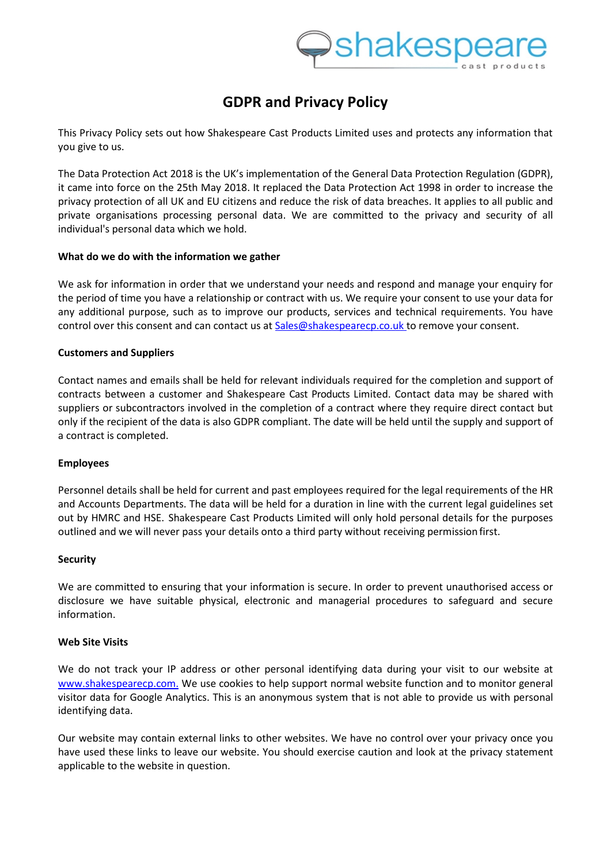# **GDPR and Privacy Policy**

This Privacy Policy sets out how Shakespeare Cast Products Limited uses and protects any information that you give to us.

The Data Protection Act 2018 is the UK's implementation of the General Data Protection Regulation (GDPR), it came into force on the 25th May 2018. It replaced the Data Protection Act 1998 in order to increase the privacy protection of all UK and EU citizens and reduce the risk of data breaches. It applies to all public and private organisations processing personal data. We are committed to the privacy and security of all individual's personal data which we hold.

# **What do we do with the information we gather**

We ask for information in order that we understand your needs and respond and manage your enquiry for the period of time you have a relationship or contract with us. We require your consent to use your data for any additional purpose, such as to improve our products, services and technical requirements. You have control over this consent and can contact us at [Sales@shakespearecp.co.uk](mailto:Sales@shakespearecp.co.uk) to remove your consent.

# **Customers and Suppliers**

Contact names and emails shall be held for relevant individuals required for the completion and support of contracts between a customer and Shakespeare Cast Products Limited. Contact data may be shared with suppliers or subcontractors involved in the completion of a contract where they require direct contact but only if the recipient of the data is also GDPR compliant. The date will be held until the supply and support of a contract is completed.

# **Employees**

Personnel details shall be held for current and past employees required for the legal requirements of the HR and Accounts Departments. The data will be held for a duration in line with the current legal guidelines set out by HMRC and HSE. Shakespeare Cast Products Limited will only hold personal details for the purposes outlined and we will never pass your details onto a third party without receiving permission first.

# **Security**

We are committed to ensuring that your information is secure. In order to prevent unauthorised access or disclosure we have suitable physical, electronic and managerial procedures to safeguard and secure information.

# **Web Site Visits**

We do not track your IP address or other personal identifying data during your visit to our website at [www.shakespearecp.com.](http://www.shakespearecp.com./) We use cookies to help support normal website function and to monitor general visitor data for Google Analytics. This is an anonymous system that is not able to provide us with personal identifying data.

Our website may contain external links to other websites. We have no control over your privacy once you have used these links to leave our website. You should exercise caution and look at the privacy statement applicable to the website in question.